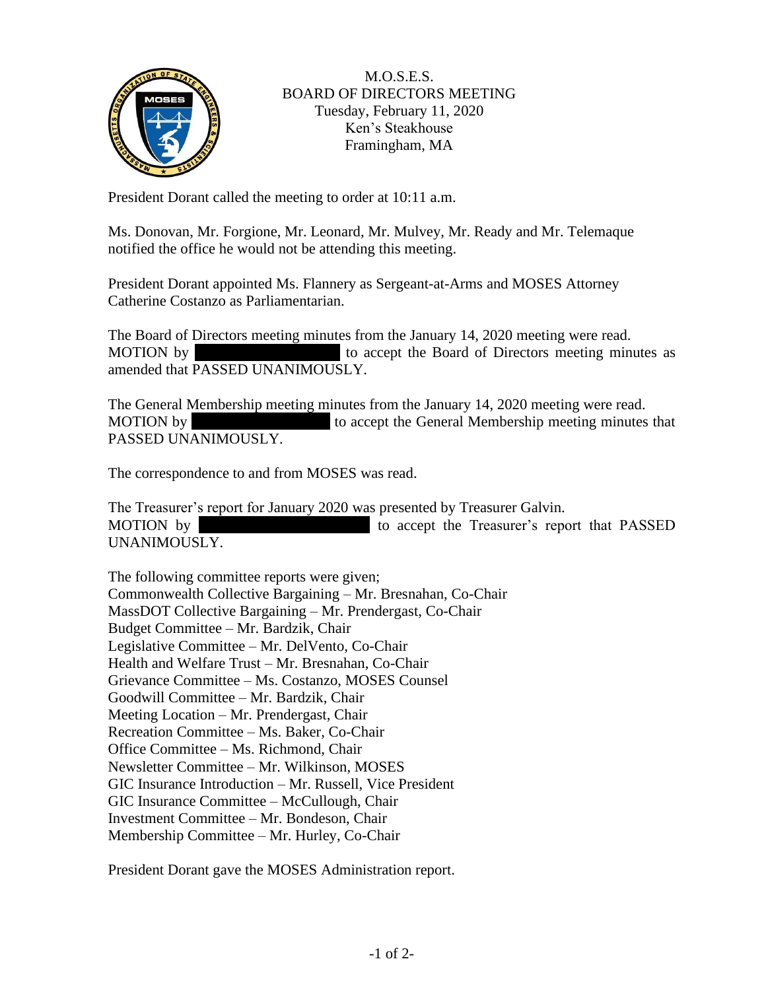

## M.O.S.E.S. BOARD OF DIRECTORS MEETING Tuesday, February 11, 2020 Ken's Steakhouse Framingham, MA

President Dorant called the meeting to order at 10:11 a.m.

Ms. Donovan, Mr. Forgione, Mr. Leonard, Mr. Mulvey, Mr. Ready and Mr. Telemaque notified the office he would not be attending this meeting.

President Dorant appointed Ms. Flannery as Sergeant-at-Arms and MOSES Attorney Catherine Costanzo as Parliamentarian.

The Board of Directors meeting minutes from the January 14, 2020 meeting were read. MOTION by to accept the Board of Directors meeting minutes as amended that PASSED UNANIMOUSLY.

The General Membership meeting minutes from the January 14, 2020 meeting were read. MOTION by to accept the General Membership meeting minutes that PASSED UNANIMOUSLY.

The correspondence to and from MOSES was read.

The Treasurer's report for January 2020 was presented by Treasurer Galvin. MOTION by MOTION by to accept the Treasurer's report that PASSED UNANIMOUSLY.

The following committee reports were given; Commonwealth Collective Bargaining – Mr. Bresnahan, Co-Chair MassDOT Collective Bargaining – Mr. Prendergast, Co-Chair Budget Committee – Mr. Bardzik, Chair Legislative Committee – Mr. DelVento, Co-Chair Health and Welfare Trust – Mr. Bresnahan, Co-Chair Grievance Committee – Ms. Costanzo, MOSES Counsel Goodwill Committee – Mr. Bardzik, Chair Meeting Location – Mr. Prendergast, Chair Recreation Committee – Ms. Baker, Co-Chair Office Committee – Ms. Richmond, Chair Newsletter Committee – Mr. Wilkinson, MOSES GIC Insurance Introduction – Mr. Russell, Vice President GIC Insurance Committee – McCullough, Chair Investment Committee – Mr. Bondeson, Chair Membership Committee – Mr. Hurley, Co-Chair

President Dorant gave the MOSES Administration report.